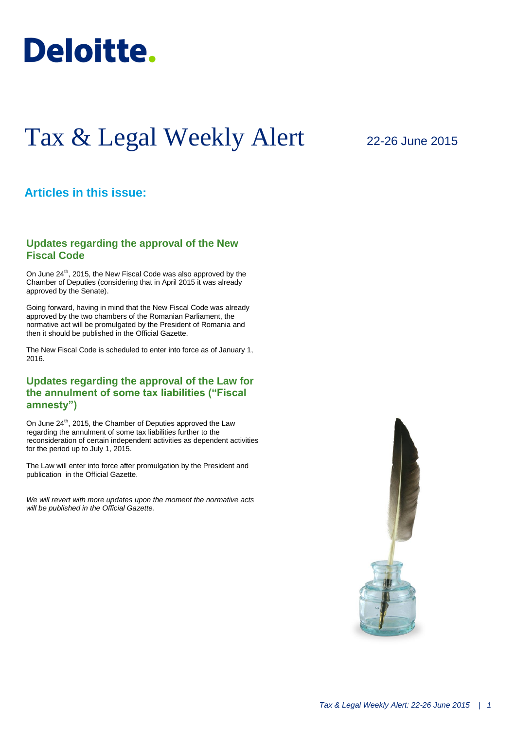

# Tax & Legal Weekly Alert

## 22-26 June 2015

### **Articles in this issue:**

#### **Updates regarding the approval of the New Fiscal Code**

On June 24<sup>th</sup>, 2015, the New Fiscal Code was also approved by the Chamber of Deputies (considering that in April 2015 it was already approved by the Senate).

Going forward, having in mind that the New Fiscal Code was already approved by the two chambers of the Romanian Parliament, the normative act will be promulgated by the President of Romania and then it should be published in the Official Gazette.

The New Fiscal Code is scheduled to enter into force as of January 1, 2016.

#### **Updates regarding the approval of the Law for the annulment of some tax liabilities ("Fiscal amnesty")**

On June 24<sup>th</sup>, 2015, the Chamber of Deputies approved the Law regarding the annulment of some tax liabilities further to the reconsideration of certain independent activities as dependent activities for the period up to July 1, 2015.

The Law will enter into force after promulgation by the President and publication in the Official Gazette.

*We will revert with more updates upon the moment the normative acts will be published in the Official Gazette.*